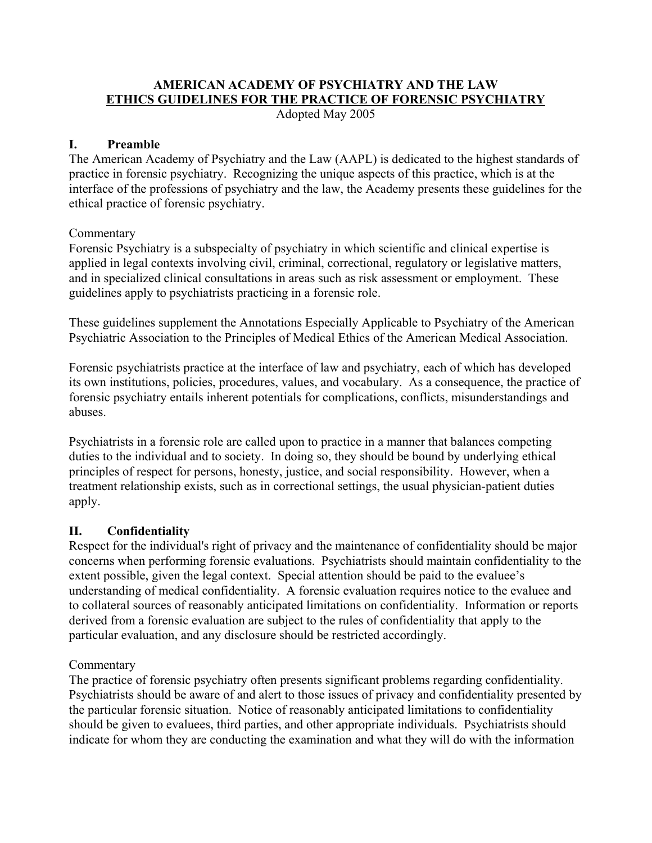# **AMERICAN ACADEMY OF PSYCHIATRY AND THE LAW ETHICS GUIDELINES FOR THE PRACTICE OF FORENSIC PSYCHIATRY**

Adopted May 2005

# **I. Preamble**

The American Academy of Psychiatry and the Law (AAPL) is dedicated to the highest standards of practice in forensic psychiatry. Recognizing the unique aspects of this practice, which is at the interface of the professions of psychiatry and the law, the Academy presents these guidelines for the ethical practice of forensic psychiatry.

## **Commentary**

Forensic Psychiatry is a subspecialty of psychiatry in which scientific and clinical expertise is applied in legal contexts involving civil, criminal, correctional, regulatory or legislative matters, and in specialized clinical consultations in areas such as risk assessment or employment. These guidelines apply to psychiatrists practicing in a forensic role.

These guidelines supplement the Annotations Especially Applicable to Psychiatry of the American Psychiatric Association to the Principles of Medical Ethics of the American Medical Association.

Forensic psychiatrists practice at the interface of law and psychiatry, each of which has developed its own institutions, policies, procedures, values, and vocabulary. As a consequence, the practice of forensic psychiatry entails inherent potentials for complications, conflicts, misunderstandings and abuses.

Psychiatrists in a forensic role are called upon to practice in a manner that balances competing duties to the individual and to society. In doing so, they should be bound by underlying ethical principles of respect for persons, honesty, justice, and social responsibility. However, when a treatment relationship exists, such as in correctional settings, the usual physician-patient duties apply.

# **II. Confidentiality**

Respect for the individual's right of privacy and the maintenance of confidentiality should be major concerns when performing forensic evaluations. Psychiatrists should maintain confidentiality to the extent possible, given the legal context. Special attention should be paid to the evaluee's understanding of medical confidentiality. A forensic evaluation requires notice to the evaluee and to collateral sources of reasonably anticipated limitations on confidentiality. Information or reports derived from a forensic evaluation are subject to the rules of confidentiality that apply to the particular evaluation, and any disclosure should be restricted accordingly.

## **Commentary**

The practice of forensic psychiatry often presents significant problems regarding confidentiality. Psychiatrists should be aware of and alert to those issues of privacy and confidentiality presented by the particular forensic situation. Notice of reasonably anticipated limitations to confidentiality should be given to evaluees, third parties, and other appropriate individuals. Psychiatrists should indicate for whom they are conducting the examination and what they will do with the information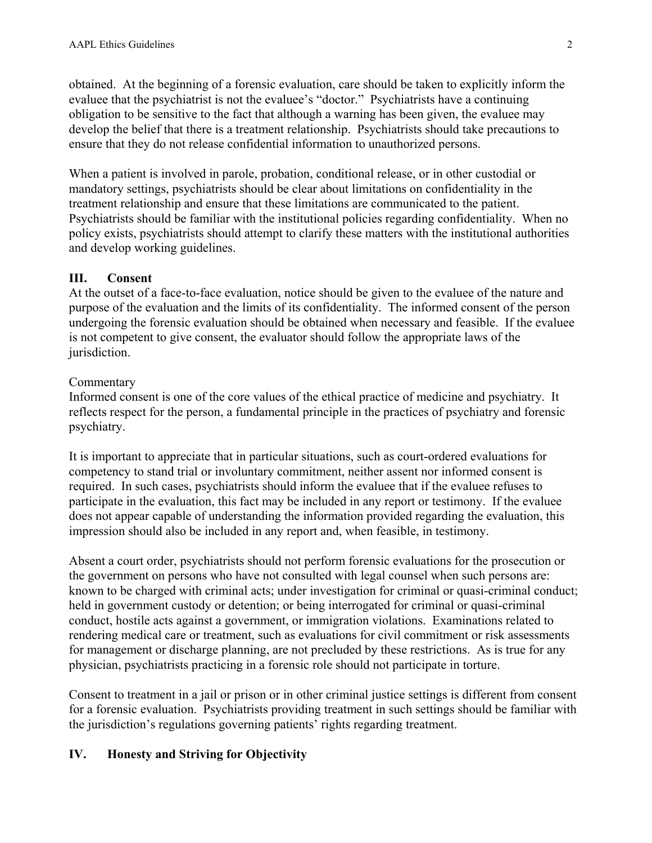obtained. At the beginning of a forensic evaluation, care should be taken to explicitly inform the evaluee that the psychiatrist is not the evaluee's "doctor." Psychiatrists have a continuing obligation to be sensitive to the fact that although a warning has been given, the evaluee may develop the belief that there is a treatment relationship. Psychiatrists should take precautions to ensure that they do not release confidential information to unauthorized persons.

When a patient is involved in parole, probation, conditional release, or in other custodial or mandatory settings, psychiatrists should be clear about limitations on confidentiality in the treatment relationship and ensure that these limitations are communicated to the patient. Psychiatrists should be familiar with the institutional policies regarding confidentiality. When no policy exists, psychiatrists should attempt to clarify these matters with the institutional authorities and develop working guidelines.

## **III. Consent**

At the outset of a face-to-face evaluation, notice should be given to the evaluee of the nature and purpose of the evaluation and the limits of its confidentiality. The informed consent of the person undergoing the forensic evaluation should be obtained when necessary and feasible. If the evaluee is not competent to give consent, the evaluator should follow the appropriate laws of the jurisdiction.

## Commentary

Informed consent is one of the core values of the ethical practice of medicine and psychiatry. It reflects respect for the person, a fundamental principle in the practices of psychiatry and forensic psychiatry.

It is important to appreciate that in particular situations, such as court-ordered evaluations for competency to stand trial or involuntary commitment, neither assent nor informed consent is required. In such cases, psychiatrists should inform the evaluee that if the evaluee refuses to participate in the evaluation, this fact may be included in any report or testimony. If the evaluee does not appear capable of understanding the information provided regarding the evaluation, this impression should also be included in any report and, when feasible, in testimony.

Absent a court order, psychiatrists should not perform forensic evaluations for the prosecution or the government on persons who have not consulted with legal counsel when such persons are: known to be charged with criminal acts; under investigation for criminal or quasi-criminal conduct; held in government custody or detention; or being interrogated for criminal or quasi-criminal conduct, hostile acts against a government, or immigration violations. Examinations related to rendering medical care or treatment, such as evaluations for civil commitment or risk assessments for management or discharge planning, are not precluded by these restrictions. As is true for any physician, psychiatrists practicing in a forensic role should not participate in torture.

Consent to treatment in a jail or prison or in other criminal justice settings is different from consent for a forensic evaluation. Psychiatrists providing treatment in such settings should be familiar with the jurisdiction's regulations governing patients' rights regarding treatment.

# **IV. Honesty and Striving for Objectivity**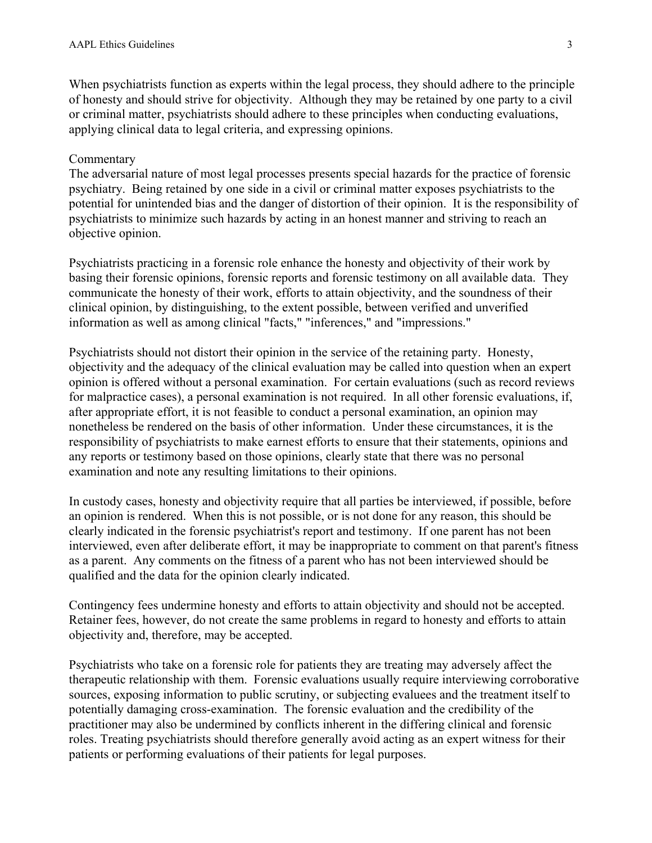When psychiatrists function as experts within the legal process, they should adhere to the principle of honesty and should strive for objectivity. Although they may be retained by one party to a civil or criminal matter, psychiatrists should adhere to these principles when conducting evaluations, applying clinical data to legal criteria, and expressing opinions.

#### **Commentary**

The adversarial nature of most legal processes presents special hazards for the practice of forensic psychiatry. Being retained by one side in a civil or criminal matter exposes psychiatrists to the potential for unintended bias and the danger of distortion of their opinion. It is the responsibility of psychiatrists to minimize such hazards by acting in an honest manner and striving to reach an objective opinion.

Psychiatrists practicing in a forensic role enhance the honesty and objectivity of their work by basing their forensic opinions, forensic reports and forensic testimony on all available data. They communicate the honesty of their work, efforts to attain objectivity, and the soundness of their clinical opinion, by distinguishing, to the extent possible, between verified and unverified information as well as among clinical "facts," "inferences," and "impressions."

Psychiatrists should not distort their opinion in the service of the retaining party. Honesty, objectivity and the adequacy of the clinical evaluation may be called into question when an expert opinion is offered without a personal examination. For certain evaluations (such as record reviews for malpractice cases), a personal examination is not required. In all other forensic evaluations, if, after appropriate effort, it is not feasible to conduct a personal examination, an opinion may nonetheless be rendered on the basis of other information. Under these circumstances, it is the responsibility of psychiatrists to make earnest efforts to ensure that their statements, opinions and any reports or testimony based on those opinions, clearly state that there was no personal examination and note any resulting limitations to their opinions.

In custody cases, honesty and objectivity require that all parties be interviewed, if possible, before an opinion is rendered. When this is not possible, or is not done for any reason, this should be clearly indicated in the forensic psychiatrist's report and testimony. If one parent has not been interviewed, even after deliberate effort, it may be inappropriate to comment on that parent's fitness as a parent. Any comments on the fitness of a parent who has not been interviewed should be qualified and the data for the opinion clearly indicated.

Contingency fees undermine honesty and efforts to attain objectivity and should not be accepted. Retainer fees, however, do not create the same problems in regard to honesty and efforts to attain objectivity and, therefore, may be accepted.

Psychiatrists who take on a forensic role for patients they are treating may adversely affect the therapeutic relationship with them. Forensic evaluations usually require interviewing corroborative sources, exposing information to public scrutiny, or subjecting evaluees and the treatment itself to potentially damaging cross-examination. The forensic evaluation and the credibility of the practitioner may also be undermined by conflicts inherent in the differing clinical and forensic roles. Treating psychiatrists should therefore generally avoid acting as an expert witness for their patients or performing evaluations of their patients for legal purposes.